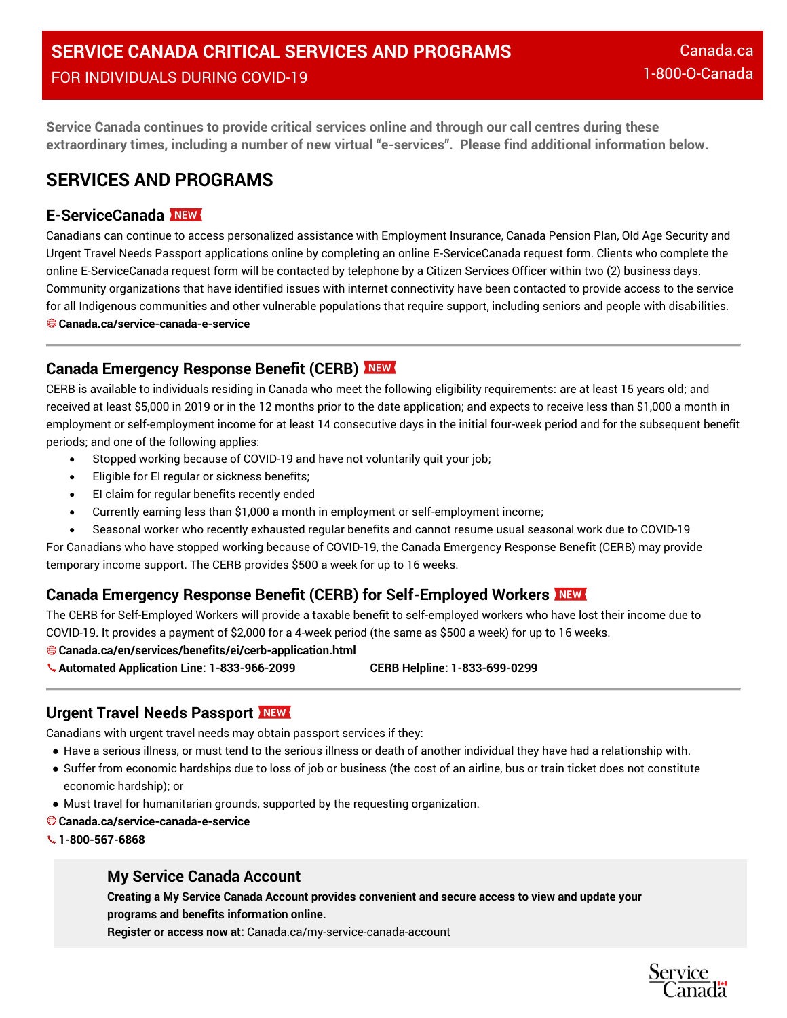**Service Canada continues to provide critical services online and through our call centres during these extraordinary times, including a number of new virtual "e-services". Please find additional information below.**

# **SERVICES AND PROGRAMS**

# **E-ServiceCanada**

Canadians can continue to access personalized assistance with Employment Insurance, Canada Pension Plan, Old Age Security and Urgent Travel Needs Passport applications online by completing an online E-ServiceCanada request form. Clients who complete the online E-ServiceCanada request form will be contacted by telephone by a Citizen Services Officer within two (2) business days. Community organizations that have identified issues with internet connectivity have been contacted to provide access to the service for all Indigenous communities and other vulnerable populations that require support, including seniors and people with disabilities. **Canada.ca/service-canada-e-service**

# **Canada Emergency Response Benefit (CERB)**

CERB is available to individuals residing in Canada who meet the following eligibility requirements: are at least 15 years old; and received at least \$5,000 in 2019 or in the 12 months prior to the date application; and expects to receive less than \$1,000 a month in employment or self-employment income for at least 14 consecutive days in the initial four-week period and for the subsequent benefit periods; and one of the following applies:

- Stopped working because of COVID-19 and have not voluntarily quit your job;
- Eligible for EI regular or sickness benefits;
- EI claim for regular benefits recently ended
- Currently earning less than \$1,000 a month in employment or self-employment income;
- Seasonal worker who recently exhausted regular benefits and cannot resume usual seasonal work due to COVID-19

For Canadians who have stopped working because of COVID-19, the Canada Emergency Response Benefit (CERB) may provide temporary income support. The CERB provides \$500 a week for up to 16 weeks.

# **Canada Emergency Response Benefit (CERB) for Self-Employed Workers**

The CERB for Self-Employed Workers will provide a taxable benefit to self-employed workers who have lost their income due to COVID-19. It provides a payment of \$2,000 for a 4-week period (the same as \$500 a week) for up to 16 weeks.

**Canada.ca/en/services/benefits/ei/cerb-application.html**

- **Automated Application Line: 1-833-966-2099 CERB Helpline: 1-833-699-0299**
- 

# **Urgent Travel Needs Passport**

Canadians with urgent travel needs may obtain passport services if they:

- Have a serious illness, or must tend to the serious illness or death of another individual they have had a relationship with.
- Suffer from economic hardships due to loss of job or business (the cost of an airline, bus or train ticket does not constitute economic hardship); or
- Must travel for humanitarian grounds, supported by the requesting organization.
- **Canada.ca/service-canada-e-service**
- **1-800-567-6868**

# **My Service Canada Account**

**Creating a My Service Canada Account provides convenient and secure access to view and update your programs and benefits information online. Register or access now at:** Canada.ca/my-service-canada-account

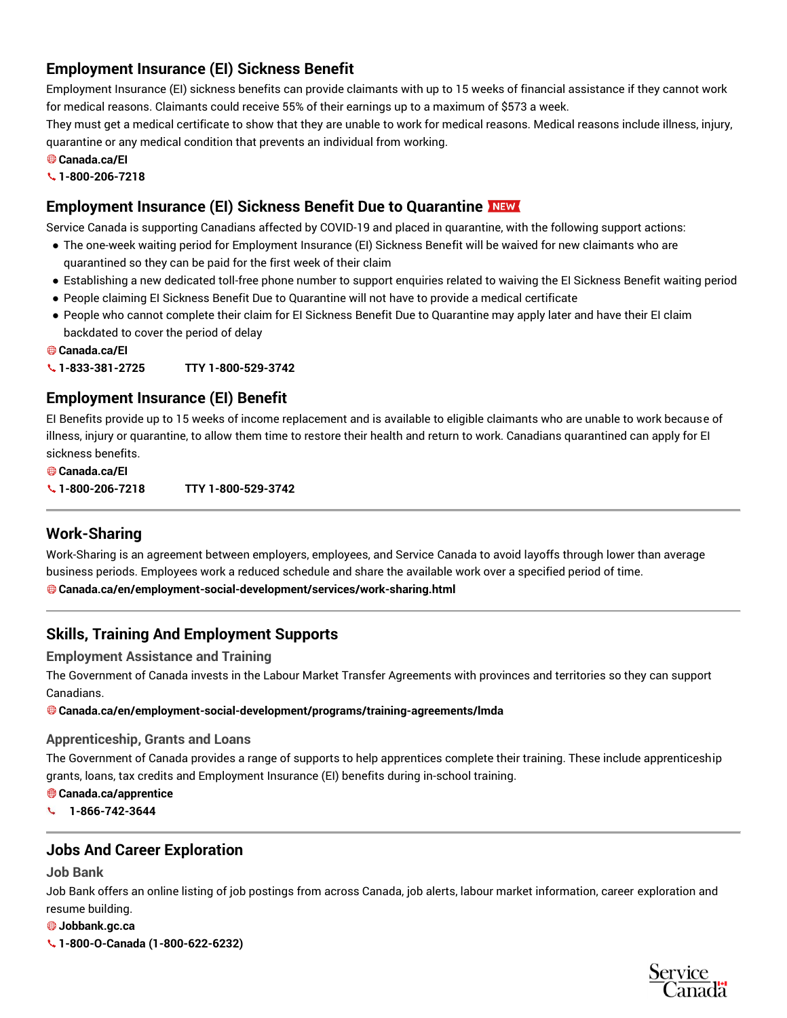# **Employment Insurance (EI) Sickness Benefit**

Employment Insurance (EI) sickness benefits can provide claimants with up to 15 weeks of financial assistance if they cannot work for medical reasons. Claimants could receive 55% of their earnings up to a maximum of \$573 a week.

They must get a medical certificate to show that they are unable to work for medical reasons. Medical reasons include illness, injury, quarantine or any medical condition that prevents an individual from working.

- **Canada.ca/EI**
- **1-800-206-7218**

# **Employment Insurance (EI) Sickness Benefit Due to Quarantine**

Service Canada is supporting Canadians affected by COVID-19 and placed in quarantine, with the following support actions:

- The one-week waiting period for Employment Insurance (EI) Sickness Benefit will be waived for new claimants who are quarantined so they can be paid for the first week of their claim
- Establishing a new dedicated toll-free phone number to support enquiries related to waiving the EI Sickness Benefit waiting period
- People claiming EI Sickness Benefit Due to Quarantine will not have to provide a medical certificate
- People who cannot complete their claim for EI Sickness Benefit Due to Quarantine may apply later and have their EI claim backdated to cover the period of delay
- **Canada.ca/EI**

**1-833-381-2725 TTY 1-800-529-3742**

# **Employment Insurance (EI) Benefit**

EI Benefits provide up to 15 weeks of income replacement and is available to eligible claimants who are unable to work because of illness, injury or quarantine, to allow them time to restore their health and return to work. Canadians quarantined can apply for EI sickness benefits.

**Canada.ca/EI**

**1-800-206-7218 TTY 1-800-529-3742**

# **Work-Sharing**

Work-Sharing is an agreement between employers, employees, and Service Canada to avoid layoffs through lower than average business periods. Employees work a reduced schedule and share the available work over a specified period of time. **Canada.ca/en/employment-social-development/services/work-sharing.html**

# **Skills, Training And Employment Supports**

#### **Employment Assistance and Training**

The Government of Canada invests in the Labour Market Transfer Agreements with provinces and territories so they can support Canadians.

**Canada.ca/en/employment-social-development/programs/training-agreements/lmda**

#### **Apprenticeship, Grants and Loans**

The Government of Canada provides a range of supports to help apprentices complete their training. These include apprenticeship grants, loans, tax credits and Employment Insurance (EI) benefits during in-school training.

#### **Canada.ca/apprentice**

**1-866-742-3644**

# **Jobs And Career Exploration**

**Job Bank**

Job Bank offers an online listing of job postings from across Canada, job alerts, labour market information, career exploration and resume building.

**Jobbank.gc.ca**

**1-800-O-Canada (1-800-622-6232)**